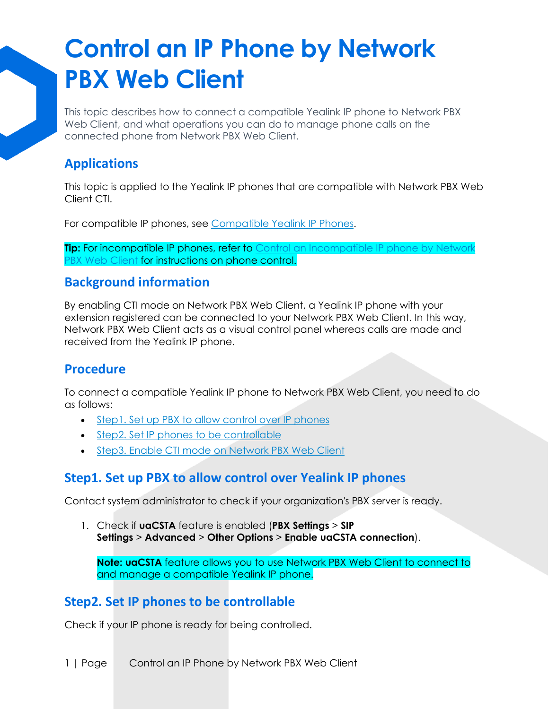# **Control an IP Phone by Network PBX Web Client**

This topic describes how to connect a compatible Yealink IP phone to Network PBX Web Client, and what operations you can do to manage phone calls on the connected phone from Network PBX Web Client.

## **Applications**

This topic is applied to the Yealink IP phones that are compatible with Network PBX Web Client CTI.

For compatible IP phones, see [Compatible Yealink IP Phones.](https://help.yeastar.com/en/p-series-cloud-edition/web-client-user-guide/linkus-web-client-cti-overview.html#linkus-web-client-cti__section_yhq_4bj_fpb)

**Tip:** For incompatible IP phones, refer to Control an Incompatible IP phone by Network [PBX Web Client](https://help.yeastar.com/en/p-series-cloud-edition/web-client-user-guide/remotely-control-an-incompatible-ip-phone-by-linkus-web-client.html) for instructions on phone control.

#### **Background information**

By enabling CTI mode on Network PBX Web Client, a Yealink IP phone with your extension registered can be connected to your Network PBX Web Client. In this way, Network PBX Web Client acts as a visual control panel whereas calls are made and received from the Yealink IP phone.

### **Procedure**

To connect a compatible Yealink IP phone to Network PBX Web Client, you need to do as follows:

- [Step1. Set up PBX to allow control over IP phones](https://help.yeastar.com/en/p-series-cloud-edition/web-client-user-guide/remotely-control-a-yealink-ip-phone-by-linkus-web-client.html#remotely-control-a-yealink-ip-phone-by-linkus__section_d12_chh_x4b)
- [Step2. Set IP phones to be controllable](https://help.yeastar.com/en/p-series-cloud-edition/web-client-user-guide/remotely-control-a-yealink-ip-phone-by-linkus-web-client.html#remotely-control-a-yealink-ip-phone-by-linkus__section_flg_phh_x4b)
- [Step3. Enable CTI mode on Network PBX Web Client](https://help.yeastar.com/en/p-series-cloud-edition/web-client-user-guide/remotely-control-a-yealink-ip-phone-by-linkus-web-client.html#remotely-control-a-yealink-ip-phone-by-linkus__section_lmx_klh_x4b)

#### **Step1. Set up PBX to allow control over Yealink IP phones**

Contact system administrator to check if your organization's PBX server is ready.

1. Check if **uaCSTA** feature is enabled (**PBX Settings** > **SIP Settings** > **Advanced** > **Other Options** > **Enable uaCSTA connection**).

**Note: uaCSTA** feature allows you to use Network PBX Web Client to connect to and manage a compatible Yealink IP phone.

### **Step2. Set IP phones to be controllable**

Check if your IP phone is ready for being controlled.

1 **|** Page Control an IP Phone by Network PBX Web Client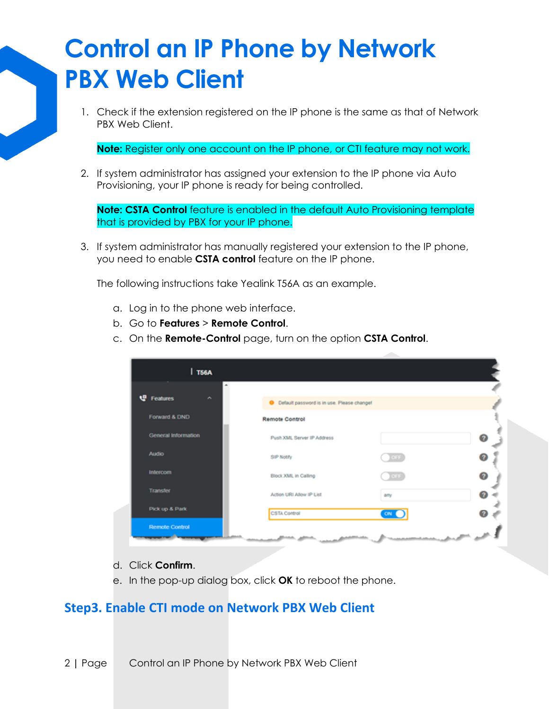## **Control an IP Phone by Network PBX Web Client**

1. Check if the extension registered on the IP phone is the same as that of Network PBX Web Client.

**Note:** Register only one account on the IP phone, or CTI feature may not work.

2. If system administrator has assigned your extension to the IP phone via Auto Provisioning, your IP phone is ready for being controlled.

**Note: CSTA Control** feature is enabled in the default Auto Provisioning template that is provided by PBX for your IP phone.

3. If system administrator has manually registered your extension to the IP phone, you need to enable **CSTA control** feature on the IP phone.

The following instructions take Yealink T56A as an example.

- a. Log in to the phone web interface.
- b. Go to **Features** > **Remote Control**.
- c. On the **Remote-Control** page, turn on the option **CSTA Control**.

| <b>T56A</b>            |                                                     |            |   |
|------------------------|-----------------------------------------------------|------------|---|
| <b>U</b> Features<br>× | <b>O</b> Default password is in use. Please change! |            |   |
| Forward & DND          | <b>Remote Control</b>                               |            |   |
| General Information    | Push XML Server IP Address                          |            | ๏ |
| Audio                  | SIP Notify                                          | <b>CEE</b> | 0 |
| Intercom               | Block XML in Calling                                | 10011      | ◉ |
| <b>Transfer</b>        | Action URI Allow IP List                            | any        | ø |
| Pick up & Park         | CSTA Control                                        | <b>ON</b>  |   |
| <b>Remote Control</b>  |                                                     |            |   |

- d. Click **Confirm**.
- e. In the pop-up dialog box, click **OK** to reboot the phone.

#### **Step3. Enable CTI mode on Network PBX Web Client**